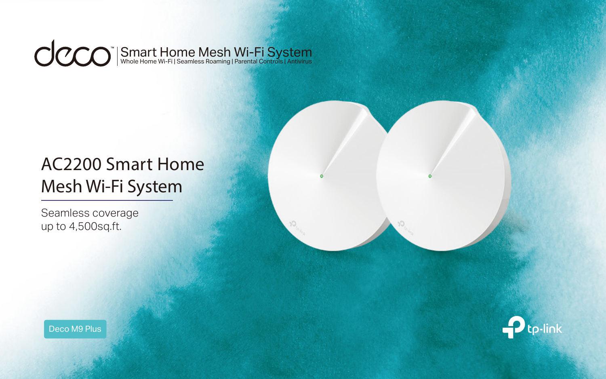#### $ClC$ Smart Home Mesh Wi-Fi System Whole Home Wi-Fi | Seamless Roaming | Parental Controls | Antivirus

# AC2200 Smart Home Mesh Wi-Fi System

Seamless coverage up to 4,500sq.ft.

Deco M9 Plus

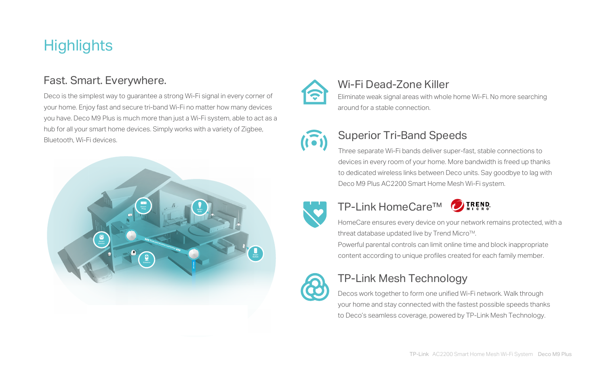HomeCare ensures every device on your network remains protected, with a threat database updated live by Trend Micro™.

Powerful parental controls can limit online time and block inappropriate content according to unique profiles created for each family member.

Decos work together to form one unified Wi-Fi network. Walk through your home and stay connected with the fastest possible speeds thanks to Deco's seamless coverage, powered by TP-Link Mesh Technology.

## TP-Link Mesh Technology

Deco is the simplest way to guarantee a strong Wi-Fi signal in every corner of your home. Enjoy fast and secure tri-band Wi-Fi no matter how many devices you have. Deco M9 Plus is much more than just a Wi-Fi system, able to act as a hub for all your smart home devices. Simply works with a variety of Zigbee, Bluetooth, Wi-Fi devices.

## **Highlights**

### Fast. Smart. Everywhere.

Three separate Wi-Fi bands deliver super-fast, stable connections to devices in every room of your home. More bandwidth is freed up thanks to dedicated wireless links between Deco units. Say goodbye to lag with Deco M9 Plus AC2200 Smart Home Mesh Wi-Fi system.





### Superior Tri-Band Speeds

### TP-Link HomeCare™



### Wi-Fi Dead-Zone Killer

Eliminate weak signal areas with whole home Wi-Fi. No more searching around for a stable connection.





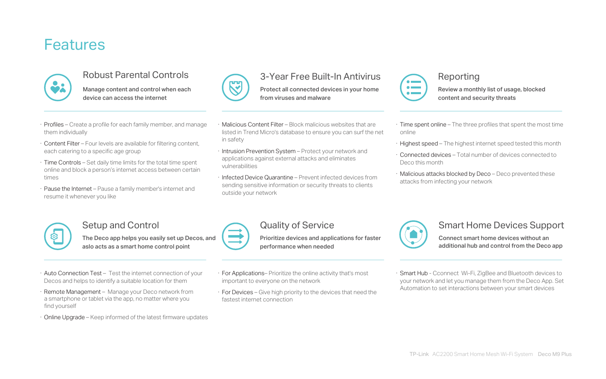- · Profiles Create a profile for each family member, and manage them individually
- · Content Filter Four levels are available for filtering content, each catering to a specific age group
- · Time Controls Set daily time limits for the total time spent online and block a person's internet access between certain times
- · Pause the Internet Pause a family member's internet and resume it whenever you like

## Features



#### Robust Parental Controls

Manage content and control when each device can access the internet



- · For Applications– Prioritize the online activity that's most important to everyone on the network
- · For Devices Give high priority to the devices that need the fastest internet connection



#### Quality of Service

- $\cdot$  Time spent online The three profiles that spent the most time online
- · Highest speed The highest internet speed tested this month
- · Connected devices Total number of devices connected to Deco this month
- · Malicious attacks blocked by Deco Deco prevented these attacks from infecting your network



Prioritize devices and applications for faster performance when needed

- · Auto Connection Test Test the internet connection of your Decos and helps to identify a suitable location for them
- · Remote Management Manage your Deco network from a smartphone or tablet via the app, no matter where you find yourself
- · Online Upgrade Keep informed of the latest firmware updates

#### Setup and Control

The Deco app helps you easily set up Decos, and aslo acts as a smart home control point

#### Reporting

Review a monthly list of usage, blocked content and security threats

- · Malicious Content Filter Block malicious websites that are listed in Trend Micro's database to ensure you can surf the net in safety
- · Intrusion Prevention System Protect your network and applications against external attacks and eliminates vulnerabilities
- · Infected Device Quarantine Prevent infected devices from sending sensitive information or security threats to clients outside your network



#### 3-Year Free Built-In Antivirus

Protect all connected devices in your home from viruses and malware

> · Smart Hub - Cconnect Wi-Fi, ZigBee and Bluetooth devices to your network and let you manage them from the Deco App. Set Automation to set interactions between your smart devices

#### Smart Home Devices Support

Connect smart home devices without an additional hub and control from the Deco app